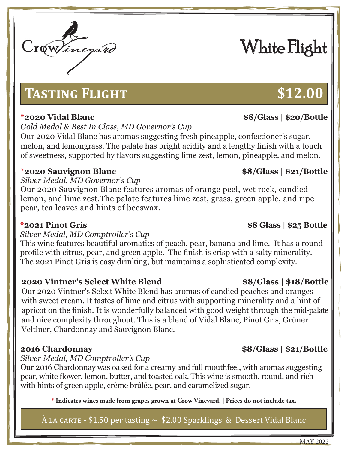# **Tasting Flight \$12.00**

*Gold Medal & Best In Class, MD Governor's Cup*

Our 2020 Vidal Blanc has aromas suggesting fresh pineapple, confectioner's sugar, melon, and lemongrass. The palate has bright acidity and a lengthy finish with a touch of sweetness, supported by flavors suggesting lime zest, lemon, pineapple, and melon.

# **\*2020 Sauvignon Blanc \$8/Glass | \$21/Bottle**

*Silver Medal, MD Governor's Cup*

Our 2020 Sauvignon Blanc features aromas of orange peel, wet rock, candied lemon, and lime zest.The palate features lime zest, grass, green apple, and ripe pear, tea leaves and hints of beeswax.

### *Silver Medal, MD Comptroller's Cup*

This wine features beautiful aromatics of peach, pear, banana and lime. It has a round profile with citrus, pear, and green apple. The finish is crisp with a salty minerality. The 2021 Pinot Gris is easy drinking, but maintains a sophisticated complexity.

# **2020 Vintner's Select White Blend \$8/Glass | \$18/Bottle**

Our 2020 Vintner's Select White Blend has aromas of candied peaches and oranges with sweet cream. It tastes of lime and citrus with supporting minerality and a hint of apricot on the finish. It is wonderfully balanced with good weight through the mid-palate and nice complexity throughout. This is a blend of Vidal Blanc, Pinot Gris, Grüner Veltlner, Chardonnay and Sauvignon Blanc.

*Silver Medal, MD Comptroller's Cup*

Our 2016 Chardonnay was oaked for a creamy and full mouthfeel, with aromas suggesting pear, white flower, lemon, butter, and toasted oak. This wine is smooth, round, and rich with hints of green apple, crème brûlée, pear, and caramelized sugar.

**\* Indicates wines made from grapes grown at Crow Vineyard. | Prices do not include tax.**

# $\hat{A}$  LA CARTE - \$1.50 per tasting  $\sim$  \$2.00 Sparklings & Dessert Vidal Blanc

# White Flight

# **\*2021 Pinot Gris \$8 Glass | \$25 Bottle**

# **\*2020 Vidal Blanc \$8/Glass | \$20/Bottle**

### **2016 Chardonnay \$8/Glass | \$21/Bottle**